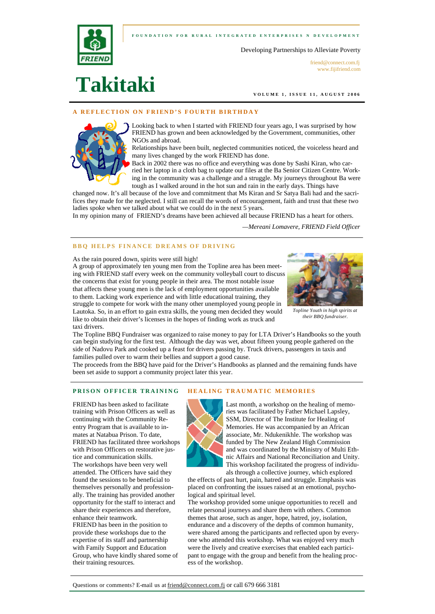**FOUNDATION FOR RURAL INTEGRATED ENTERPRI SES N DEVELOPMENT** 





friend@connect.com.fj www.fijifriend.com

**Takitaki**

**VOLUME 1, ISSUE 11, AUGUST 2006** 

## **A REFLECTION ON FRIEND'S FOURTH BIRTHDAY**



Looking back to when I started with FRIEND four years ago, I was surprised by how FRIEND has grown and been acknowledged by the Government, communities, other NGOs and abroad.

Relationships have been built, neglected communities noticed, the voiceless heard and many lives changed by the work FRIEND has done.

Back in 2002 there was no office and everything was done by Sashi Kiran, who car-

ried her laptop in a cloth bag to update our files at the Ba Senior Citizen Centre. Working in the community was a challenge and a struggle. My journeys throughout Ba were tough as I walked around in the hot sun and rain in the early days. Things have

changed now. It's all because of the love and commitment that Ms Kiran and Sr Satya Bali had and the sacrifices they made for the neglected. I still can recall the words of encouragement, faith and trust that these two ladies spoke when we talked about what we could do in the next 5 years.

In my opinion many of FRIEND's dreams have been achieved all because FRIEND has a heart for others.

*—Mereani Lomavere, FRIEND Field Officer*

## **BBQ HELPS FINANCE DREAMS OF DRIVING**

As the rain poured down, spirits were still high!

A group of approximately ten young men from the Topline area has been meeting with FRIEND staff every week on the community volleyball court to discuss the concerns that exist for young people in their area. The most notable issue that affects these young men is the lack of employment opportunities available to them. Lacking work experience and with little educational training, they struggle to compete for work with the many other unemployed young people in Lautoka. So, in an effort to gain extra skills, the young men decided they would like to obtain their driver's licenses in the hopes of finding work as truck and taxi drivers.



*Topline Youth in high spirits at their BBQ fundraiser.*

The Topline BBQ Fundraiser was organized to raise money to pay for LTA Driver's Handbooks so the youth can begin studying for the first test. Although the day was wet, about fifteen young people gathered on the side of Nadovu Park and cooked up a feast for drivers passing by. Truck drivers, passengers in taxis and families pulled over to warm their bellies and support a good cause.

The proceeds from the BBQ have paid for the Driver's Handbooks as planned and the remaining funds have been set aside to support a community project later this year.

#### **PRISON OFFICER TRAINING HEALING TRAUMATIC MEMORIES**

FRIEND has been asked to facilitate training with Prison Officers as well as continuing with the Community Reentry Program that is available to inmates at Natabua Prison. To date, FRIEND has facilitated three workshops with Prison Officers on restorative justice and communication skills. The workshops have been very well attended. The Officers have said they found the sessions to be beneficial to themselves personally and professionally. The training has provided another opportunity for the staff to interact and share their experiences and therefore, enhance their teamwork. FRIEND has been in the position to provide these workshops due to the

expertise of its staff and partnership with Family Support and Education Group, who have kindly shared some of their training resources.



Last month, a workshop on the healing of memories was facilitated by Father Michael Lapsley, SSM, Director of The Institute for Healing of Memories. He was accompanied by an African associate, Mr. Ndukenikhle. The workshop was funded by The New Zealand High Commission and was coordinated by the Ministry of Multi Ethnic Affairs and National Reconciliation and Unity. This workshop facilitated the progress of individuals through a collective journey, which explored

the effects of past hurt, pain, hatred and struggle. Emphasis was placed on confronting the issues raised at an emotional, psychological and spiritual level.

The workshop provided some unique opportunities to recell and relate personal journeys and share them with others. Common themes that arose, such as anger, hope, hatred, joy, isolation, endurance and a discovery of the depths of common humanity, were shared among the participants and reflected upon by everyone who attended this workshop. What was enjoyed very much were the lively and creative exercises that enabled each participant to engage with the group and benefit from the healing process of the workshop.